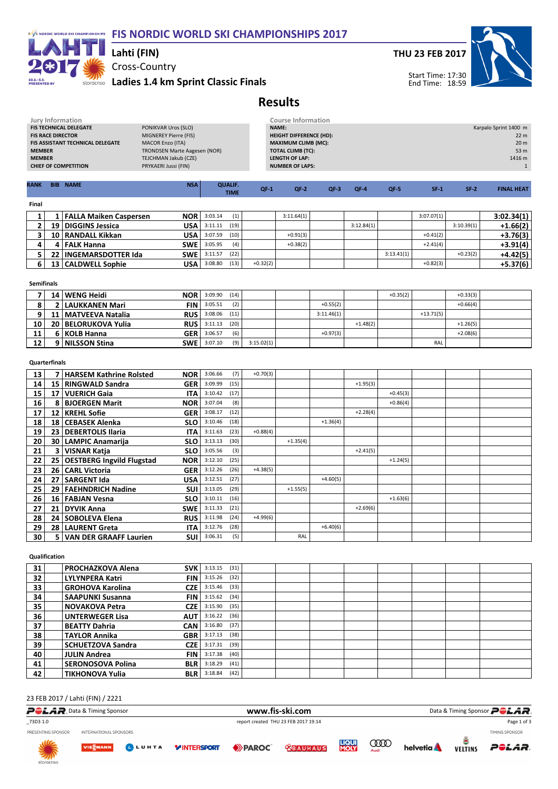### F/S NORDIC WORLD SKI CHAMPIONSHIPS FIS NORDIC WORLD SKI CHAMPIONSHIPS 2017



### Cross-Country Lahti (FIN)

storgenso Ladies 1.4 km Sprint Classic Finals



Start Time: 17:30



End Time: 18:59

## Results

| <b>BIB NAME</b><br>RANK          | <b>NSA</b>                          | <b>QUALIF.</b><br><b>TIME</b> | $QF-1$       | $QF-2$                         | $QF-3$ | $QF-4$          | $QF-5$ | $SF-1$ | $SF-2$                | <b>FINAL HEAT</b> |  |
|----------------------------------|-------------------------------------|-------------------------------|--------------|--------------------------------|--------|-----------------|--------|--------|-----------------------|-------------------|--|
|                                  |                                     |                               |              |                                |        |                 |        |        |                       |                   |  |
| <b>CHIEF OF COMPETITION</b>      | PRYKAERI Jussi (FIN)                |                               |              | <b>NUMBER OF LAPS:</b>         |        |                 |        |        |                       |                   |  |
| <b>MEMBER</b>                    | TEJCHMAN Jakub (CZE)                |                               |              | LENGTH OF LAP:                 |        |                 |        |        |                       | 1416 m            |  |
| <b>MEMBER</b>                    | <b>TRONDSEN Marte Aagesen (NOR)</b> |                               |              | <b>TOTAL CLIMB (TC):</b>       |        | 53 m            |        |        |                       |                   |  |
| FIS ASSISTANT TECHNICAL DELEGATE | <b>MACOR Enzo (ITA)</b>             |                               |              | <b>MAXIMUM CLIMB (MC):</b>     |        | 20 <sub>m</sub> |        |        |                       |                   |  |
| <b>FIS RACE DIRECTOR</b>         | MIGNEREY Pierre (FIS)               |                               |              | <b>HEIGHT DIFFERENCE (HD):</b> |        |                 |        |        |                       | 22 <sub>m</sub>   |  |
| <b>FIS TECHNICAL DELEGATE</b>    | PONIKVAR Uros (SLO)                 |                               | <b>NAME:</b> |                                |        |                 |        |        | Karpalo Sprint 1400 m |                   |  |
| Jury Information                 |                                     | <b>Course Information</b>     |              |                                |        |                 |        |        |                       |                   |  |

Final

|  | <b>NOR</b><br>FALLA Maiken Caspersen |                        | 3:03.14 | (1)  |            | 3:11.64(1) |            |            | 3:07.07(1) |            | 3:02.34(1) |
|--|--------------------------------------|------------------------|---------|------|------------|------------|------------|------------|------------|------------|------------|
|  | USA<br>19   DIGGINS Jessica          |                        | 3:11.11 | (19) |            |            | 3:12.84(1) |            |            | 3:10.39(1) | $+1.66(2)$ |
|  | 10   RANDALL Kikkan<br>USA           |                        | 3:07.59 | (10) |            | $+0.91(3)$ |            |            | $+0.41(2)$ |            | $+3.76(3)$ |
|  | 4   FALK Hanna                       | <b>SWE</b> 3:05.95     |         | (4)  |            | $+0.38(2)$ |            |            | $+2.41(4)$ |            | $+3.91(4)$ |
|  | 22   INGEMARSDOTTER Ida              | <b>SWE</b> $  3:11.57$ |         | (22) |            |            |            | 3:13.41(1) |            | $+0.23(2)$ | $+4.42(5)$ |
|  | 13   CALDWELL Sophie<br>USA          |                        | 3:08.80 | (13) | $+0.32(2)$ |            |            |            | $+0.82(3)$ |            | $+5.37(6)$ |
|  |                                      |                        |         |      |            |            |            |            |            |            |            |

Semifinals

|    |   | <b>NOR</b><br>14   WENG Heidi       | 3:09.90 | (14) |            |            |            | $+0.35(2)$ |             | $+0.33(3)$ |  |
|----|---|-------------------------------------|---------|------|------------|------------|------------|------------|-------------|------------|--|
| 8  |   | LAUKKANEN Mari<br>FIN               | 3:05.51 | (2)  |            | $+0.55(2)$ |            |            |             | $+0.66(4)$ |  |
| ۹  |   | 11   MATVEEVA Natalia<br><b>RUS</b> | 3:08.06 | (11) |            | 3:11.46(1) |            |            | $+13.71(5)$ |            |  |
| 10 |   | 20   BELORUKOVA Yulia<br><b>RUS</b> | 3:11.13 | (20) |            |            | $+1.48(2)$ |            |             | $+1.26(5)$ |  |
| 11 |   | GER<br>6   KOLB Hanna               | 3:06.57 | (6)  |            | $+0.97(3)$ |            |            |             | $+2.08(6)$ |  |
| 12 | ດ | <b>SWE</b><br>  NILSSON Stina       | 3:07.10 | (9)  | 3:15.02(1) |            |            |            | RAL         |            |  |

### Quarterfinals

| 13 |      | <b>HARSEM Kathrine Rolsted</b><br><b>NOR</b>   | 3:06.66 | (7)  | $+0.70(3)$ |            |            |            |            |  |  |
|----|------|------------------------------------------------|---------|------|------------|------------|------------|------------|------------|--|--|
| 14 | 15   | <b>RINGWALD Sandra</b><br><b>GER</b>           | 3:09.99 | (15) |            |            |            | $+1.95(3)$ |            |  |  |
| 15 | 17   | <b>VUERICH Gaia</b><br>ITA                     | 3:10.42 | (17) |            |            |            |            | $+0.45(3)$ |  |  |
| 16 |      | <b>NOR</b><br><b>BJOERGEN Marit</b>            | 3:07.04 | (8)  |            |            |            |            | $+0.86(4)$ |  |  |
| 17 | 12   | <b>GER</b><br><b>KREHL Sofie</b>               | 3:08.17 | (12) |            |            |            | $+2.28(4)$ |            |  |  |
| 18 | 18   | <b>CEBASEK Alenka</b><br><b>SLO</b>            | 3:10.46 | (18) |            |            | $+1.36(4)$ |            |            |  |  |
| 19 | 23   | <b>DEBERTOLIS Ilaria</b><br>ITA                | 3:11.63 | (23) | $+0.88(4)$ |            |            |            |            |  |  |
| 20 | 30 I | <b>LAMPIC Anamarija</b><br><b>SLO</b>          | 3:13.13 | (30) |            | $+1.35(4)$ |            |            |            |  |  |
| 21 | 3    | <b>VISNAR Katja</b><br><b>SLO</b>              | 3:05.56 | (3)  |            |            |            | $+2.41(5)$ |            |  |  |
| 22 | 25 I | <b>OESTBERG Ingvild Flugstad</b><br><b>NOR</b> | 3:12.10 | (25) |            |            |            |            | $+1.24(5)$ |  |  |
| 23 | 26 I | <b>CARL Victoria</b><br><b>GER</b>             | 3:12.26 | (26) | $+4.38(5)$ |            |            |            |            |  |  |
| 24 | 27   | <b>SARGENT Ida</b><br><b>USA</b>               | 3:12.51 | (27) |            |            | $+4.60(5)$ |            |            |  |  |
| 25 | 29 I | <b>FAEHNDRICH Nadine</b><br>SUI                | 3:13.05 | (29) |            | $+1.55(5)$ |            |            |            |  |  |
| 26 | 16 I | <b>SLO</b><br><b>FABJAN Vesna</b>              | 3:10.11 | (16) |            |            |            |            | $+1.63(6)$ |  |  |
| 27 | 21   | <b>SWE</b><br><b>DYVIK Anna</b>                | 3:11.33 | (21) |            |            |            | $+2.69(6)$ |            |  |  |
| 28 | 24 I | <b>SOBOLEVA Elena</b><br><b>RUS</b>            | 3:11.98 | (24) | $+4.99(6)$ |            |            |            |            |  |  |
| 29 | 28 I | <b>LAURENT Greta</b><br>ITA                    | 3:12.76 | (28) |            |            | $+6.40(6)$ |            |            |  |  |
| 30 | 5.   | <b>VAN DER GRAAFF Laurien</b><br><b>SUI</b>    | 3:06.31 | (5)  |            | RAL        |            |            |            |  |  |

#### Qualification

| 31              | <b>PROCHAZKOVA Alena</b><br><b>SVK</b> | (31)<br>3:13.15 |  |  |  |  |
|-----------------|----------------------------------------|-----------------|--|--|--|--|
| 32              | <b>LYLYNPERA Katri</b><br><b>FIN</b>   | (32)<br>3:15.26 |  |  |  |  |
| 33              | <b>GROHOVA Karolina</b><br><b>CZE</b>  | (33)<br>3:15.46 |  |  |  |  |
| 34 <sub>1</sub> | <b>SAAPUNKI Susanna</b><br><b>FIN</b>  | (34)<br>3:15.62 |  |  |  |  |
| 35              | <b>NOVAKOVA Petra</b><br><b>CZE</b>    | (35)<br>3:15.90 |  |  |  |  |
| 36              | <b>UNTERWEGER Lisa</b><br><b>AUT</b>   | (36)<br>3:16.22 |  |  |  |  |
| 37              | <b>BEATTY Dahria</b><br>CAN            | (37)<br>3:16.80 |  |  |  |  |
| 38              | <b>TAYLOR Annika</b><br><b>GBR</b>     | (38)<br>3:17.13 |  |  |  |  |
| 39              | <b>CZE</b><br><b>SCHUETZOVA Sandra</b> | (39)<br>3:17.31 |  |  |  |  |
| 40              | JULIN Andrea<br><b>FIN</b>             | (40)<br>3:17.38 |  |  |  |  |
| 41              | <b>SERONOSOVA Polina</b><br><b>BLR</b> | (41)<br>3:18.29 |  |  |  |  |
| 42              | <b>TIKHONOVA Yulia</b><br><b>BLR</b>   | (42)<br>3:18.84 |  |  |  |  |

### 23 FEB 2017 / Lahti (FIN) / 2221

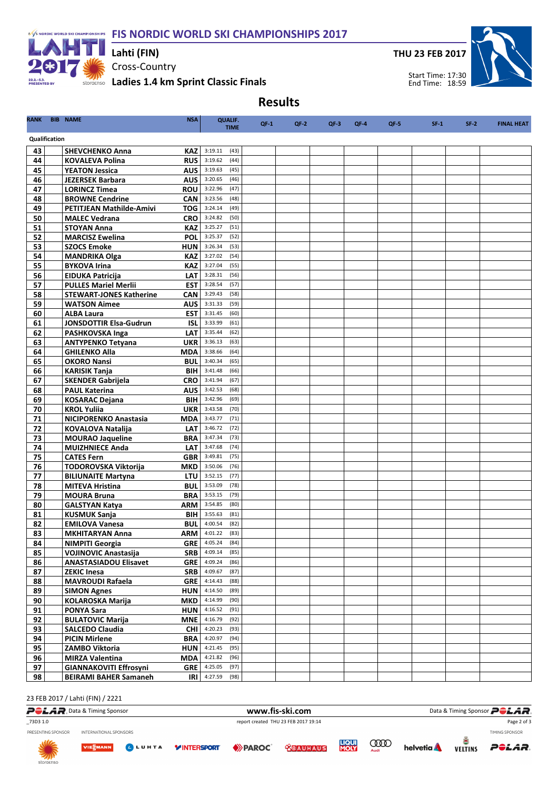F/S NORDIC WORLD SKI CHAMPIONSHIPS FIS NORDIC WORLD SKI CHAMPIONSHIPS 2017



Cross-Country storgenso Ladies 1.4 km Sprint Classic Finals Lahti (FIN)

THU 23 FEB 2017



Start Time: 17:30 End Time: 18:59

# Results

| RANK     |               | <b>BIB NAME</b><br><b>NSA</b>                                           | <b>QUALIF.</b><br><b>TIME</b>      | $QF-1$ | $QF-2$ | $QF-3$ | $QF-4$ | $QF-5$ | $SF-1$ | $SF-2$ | <b>FINAL HEAT</b> |
|----------|---------------|-------------------------------------------------------------------------|------------------------------------|--------|--------|--------|--------|--------|--------|--------|-------------------|
|          | Qualification |                                                                         |                                    |        |        |        |        |        |        |        |                   |
|          |               |                                                                         |                                    |        |        |        |        |        |        |        |                   |
| 43<br>44 |               | <b>SHEVCHENKO Anna</b><br>KAZ I<br><b>RUS</b><br><b>KOVALEVA Polina</b> | 3:19.11<br>(43)<br>3:19.62<br>(44) |        |        |        |        |        |        |        |                   |
| 45       |               | <b>AUS</b><br><b>YEATON Jessica</b>                                     | 3:19.63<br>(45)                    |        |        |        |        |        |        |        |                   |
| 46       |               | AUS<br><b>JEZERSEK Barbara</b>                                          | 3:20.65<br>(46)                    |        |        |        |        |        |        |        |                   |
| 47       |               | <b>LORINCZ Timea</b><br><b>ROU</b>                                      | 3:22.96<br>(47)                    |        |        |        |        |        |        |        |                   |
| 48       |               | <b>BROWNE Cendrine</b><br><b>CAN</b>                                    | 3:23.56<br>(48)                    |        |        |        |        |        |        |        |                   |
| 49       |               | TOG I<br><b>PETITJEAN Mathilde-Amivi</b>                                | 3:24.14<br>(49)                    |        |        |        |        |        |        |        |                   |
| 50       |               | <b>MALEC Vedrana</b><br>CRO                                             | 3:24.82<br>(50)                    |        |        |        |        |        |        |        |                   |
| 51       |               | <b>STOYAN Anna</b><br><b>KAZ</b>                                        | 3:25.27<br>(51)                    |        |        |        |        |        |        |        |                   |
| 52       |               | <b>MARCISZ Ewelina</b><br><b>POL</b>                                    | 3:25.37<br>(52)                    |        |        |        |        |        |        |        |                   |
| 53       |               | <b>SZOCS Emoke</b><br><b>HUN</b>                                        | 3:26.34<br>(53)                    |        |        |        |        |        |        |        |                   |
| 54       |               | <b>MANDRIKA Olga</b><br>KAZ                                             | 3:27.02<br>(54)                    |        |        |        |        |        |        |        |                   |
| 55       |               | <b>BYKOVA Irina</b><br><b>KAZ</b>                                       | 3:27.04<br>(55)                    |        |        |        |        |        |        |        |                   |
| 56       |               | <b>EIDUKA Patricija</b><br><b>LAT</b>                                   | (56)<br>3:28.31                    |        |        |        |        |        |        |        |                   |
| 57       |               | <b>PULLES Mariel Merlii</b><br><b>EST</b>                               | 3:28.54<br>(57)                    |        |        |        |        |        |        |        |                   |
| 58       |               | <b>CAN</b><br><b>STEWART-JONES Katherine</b>                            | 3:29.43<br>(58)                    |        |        |        |        |        |        |        |                   |
| 59       |               | <b>WATSON Aimee</b><br><b>AUS</b>                                       | (59)<br>3:31.33                    |        |        |        |        |        |        |        |                   |
| 60       |               | <b>ALBA Laura</b><br><b>EST</b>                                         | 3:31.45<br>(60)                    |        |        |        |        |        |        |        |                   |
| 61<br>62 |               | <b>JONSDOTTIR Elsa-Gudrun</b><br><b>ISL</b>                             | 3:33.99<br>(61)<br>3:35.44<br>(62) |        |        |        |        |        |        |        |                   |
| 63       |               | PASHKOVSKA Inga<br><b>LAT</b><br><b>UKR</b>                             | 3:36.13<br>(63)                    |        |        |        |        |        |        |        |                   |
| 64       |               | <b>ANTYPENKO Tetyana</b><br><b>GHILENKO Alla</b><br><b>MDA</b>          | (64)<br>3:38.66                    |        |        |        |        |        |        |        |                   |
| 65       |               | <b>BUL</b><br><b>OKORO Nansi</b>                                        | 3:40.34<br>(65)                    |        |        |        |        |        |        |        |                   |
| 66       |               | <b>KARISIK Tanja</b><br><b>BIH</b>                                      | (66)<br>3:41.48                    |        |        |        |        |        |        |        |                   |
| 67       |               | <b>SKENDER Gabrijela</b><br><b>CRO</b>                                  | 3:41.94<br>(67)                    |        |        |        |        |        |        |        |                   |
| 68       |               | <b>PAUL Katerina</b><br><b>AUS</b>                                      | 3:42.53<br>(68)                    |        |        |        |        |        |        |        |                   |
| 69       |               | BIH<br><b>KOSARAC Dejana</b>                                            | 3:42.96<br>(69)                    |        |        |        |        |        |        |        |                   |
| 70       |               | <b>KROL Yuliia</b><br><b>UKR</b>                                        | 3:43.58<br>(70)                    |        |        |        |        |        |        |        |                   |
| 71       |               | <b>NICIPORENKO Anastasia</b><br>MDA                                     | 3:43.77<br>(71)                    |        |        |        |        |        |        |        |                   |
| 72       |               | <b>KOVALOVA Natalija</b><br><b>LAT</b>                                  | 3:46.72<br>(72)                    |        |        |        |        |        |        |        |                   |
| 73       |               | <b>MOURAO Jaqueline</b><br><b>BRA</b>                                   | 3:47.34<br>(73)                    |        |        |        |        |        |        |        |                   |
| 74       |               | <b>MUIZHNIECE Anda</b><br><b>LAT</b>                                    | 3:47.68<br>(74)                    |        |        |        |        |        |        |        |                   |
| 75       |               | <b>CATES Fern</b><br><b>GBR</b>                                         | 3:49.81<br>(75)                    |        |        |        |        |        |        |        |                   |
| 76       |               | TODOROVSKA Viktorija<br>MKD                                             | 3:50.06<br>(76)                    |        |        |        |        |        |        |        |                   |
| 77       |               | <b>LTU</b><br><b>BILIUNAITE Martyna</b>                                 | 3:52.15<br>(77)                    |        |        |        |        |        |        |        |                   |
| 78       |               | <b>MITEVA Hristina</b><br><b>BUL</b>                                    | 3:53.09<br>(78)                    |        |        |        |        |        |        |        |                   |
| 79<br>80 |               | <b>MOURA Bruna</b><br><b>BRA</b>                                        | 3:53.15<br>(79)<br>3:54.85<br>(80) |        |        |        |        |        |        |        |                   |
| 81       |               | <b>GALSTYAN Katya</b><br>ARM<br><b>KUSMUK Sanja</b><br><b>BIH</b>       | 3:55.63<br>(81)                    |        |        |        |        |        |        |        |                   |
| 82       |               | <b>EMILOVA Vanesa</b><br><b>BUL</b>                                     | 4:00.54<br>(82)                    |        |        |        |        |        |        |        |                   |
| 83       |               | <b>ARM</b><br><b>MKHITARYAN Anna</b>                                    | 4:01.22<br>(83)                    |        |        |        |        |        |        |        |                   |
| 84       |               | <b>NIMPITI Georgia</b>                                                  | <b>GRE</b> $  4:05.24 (84)$        |        |        |        |        |        |        |        |                   |
| 85       |               | <b>VOJINOVIC Anastasija</b><br>SRB                                      | 4:09.14<br>(85)                    |        |        |        |        |        |        |        |                   |
| 86       |               | <b>ANASTASIADOU Elisavet</b><br>GRE                                     | 4:09.24<br>(86)                    |        |        |        |        |        |        |        |                   |
| 87       |               | <b>ZEKIC Inesa</b>                                                      | (87)<br>SRB 4:09.67                |        |        |        |        |        |        |        |                   |
| 88       |               | <b>MAVROUDI Rafaela</b>                                                 | GRE $4:14.43$<br>(88)              |        |        |        |        |        |        |        |                   |
| 89       |               | <b>SIMON Agnes</b><br>HUN                                               | 4:14.50<br>(89)                    |        |        |        |        |        |        |        |                   |
| 90       |               | MKD<br><b>KOLAROSKA Marija</b>                                          | 4:14.99<br>(90)                    |        |        |        |        |        |        |        |                   |
| 91       |               | <b>PONYA Sara</b><br>HUN                                                | 4:16.52<br>(91)                    |        |        |        |        |        |        |        |                   |
| 92       |               | <b>BULATOVIC Marija</b><br>MNE                                          | 4:16.79<br>(92)                    |        |        |        |        |        |        |        |                   |
| 93       |               | <b>SALCEDO Claudia</b>                                                  | $CHI$ 4:20.23<br>(93)              |        |        |        |        |        |        |        |                   |
| 94       |               | <b>PICIN Mirlene</b><br><b>BRA</b>                                      | 4:20.97<br>(94)                    |        |        |        |        |        |        |        |                   |
| 95       |               | HUN<br>ZAMBO Viktoria                                                   | 4:21.45<br>(95)                    |        |        |        |        |        |        |        |                   |
| 96<br>97 |               | <b>MIRZA Valentina</b><br>MDA                                           | (96)<br>4:21.82<br>(97)            |        |        |        |        |        |        |        |                   |
| 98       |               | <b>GIANNAKOVITI Effrosyni</b><br><b>BEIRAMI BAHER Samaneh</b><br>IRI    | GRE $4:25.05$<br>4:27.59<br>(98)   |        |        |        |        |        |        |        |                   |
|          |               |                                                                         |                                    |        |        |        |        |        |        |        |                   |

#### 23 FEB 2017 / Lahti (FIN) / 2221